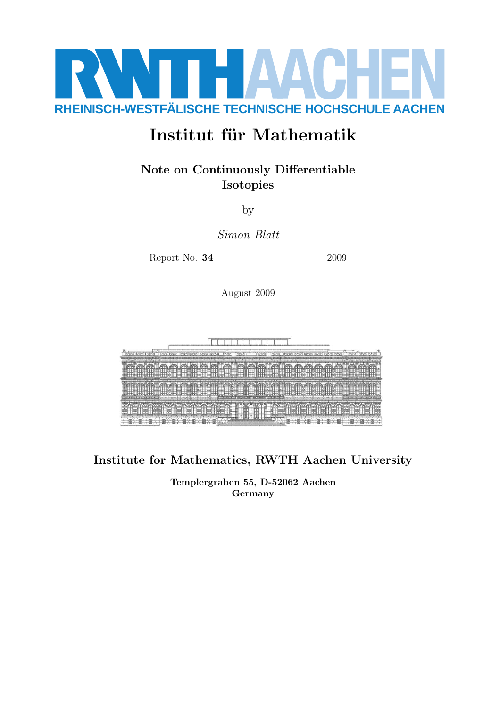

# Institut für Mathematik

# Note on Continuously Differentiable Isotopies

by

Simon Blatt

Report No. **34** 2009

August 2009



Institute for Mathematics, RWTH Aachen University

Templergraben 55, D-52062 Aachen Germany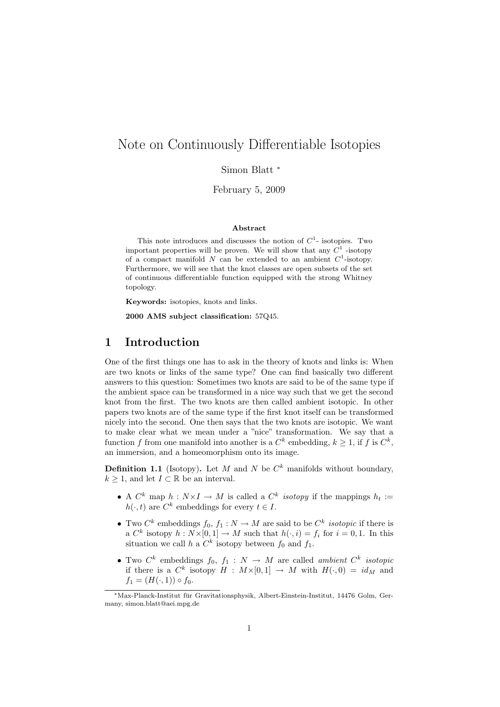# Note on Continuously Differentiable Isotopies

Simon Blatt <sup>∗</sup>

February 5, 2009

#### Abstract

This note introduces and discusses the notion of  $C<sup>1</sup>$ - isotopies. Two important properties will be proven. We will show that any  $C^1$  -isotopy of a compact manifold N can be extended to an ambient  $C^1$ -isotopy. Furthermore, we will see that the knot classes are open subsets of the set of continuous differentiable function equipped with the strong Whitney topology.

Keywords: isotopies, knots and links.

2000 AMS subject classification: 57Q45.

### 1 Introduction

One of the first things one has to ask in the theory of knots and links is: When are two knots or links of the same type? One can find basically two different answers to this question: Sometimes two knots are said to be of the same type if the ambient space can be transformed in a nice way such that we get the second knot from the first. The two knots are then called ambient isotopic. In other papers two knots are of the same type if the first knot itself can be transformed nicely into the second. One then says that the two knots are isotopic. We want to make clear what we mean under a "nice" transformation. We say that a function f from one manifold into another is a  $C^k$  embedding,  $k \geq 1$ , if f is  $C^k$ , an immersion, and a homeomorphism onto its image.

**Definition 1.1** (Isotopy). Let M and N be  $C<sup>k</sup>$  manifolds without boundary,  $k \geq 1$ , and let  $I \subset \mathbb{R}$  be an interval.

- A  $C^k$  map  $h: N \times I \to M$  is called a  $C^k$  *isotopy* if the mappings  $h_t :=$  $h(\cdot, t)$  are  $C^k$  embeddings for every  $t \in I$ .
- Two  $C^k$  embeddings  $f_0, f_1: N \to M$  are said to be  $C^k$  *isotopic* if there is a  $C^k$  isotopy  $h: N \times [0,1] \to M$  such that  $h(\cdot, i) = f_i$  for  $i = 0,1$ . In this situation we call h a  $C^k$  isotopy between  $f_0$  and  $f_1$ .
- Two  $C^k$  embeddings  $f_0, f_1 : N \to M$  are called *ambient*  $C^k$  *isotopic* if there is a  $C^k$  isotopy  $H : M \times [0,1] \rightarrow M$  with  $H(\cdot,0) = id_M$  and  $f_1 = (H(\cdot, 1)) \circ f_0.$

<sup>∗</sup>Max-Planck-Institut fur Gravitationsphysik, Albert-Einstein-Institut, 14476 Golm, Ger- ¨ many, simon.blatt@aei.mpg.de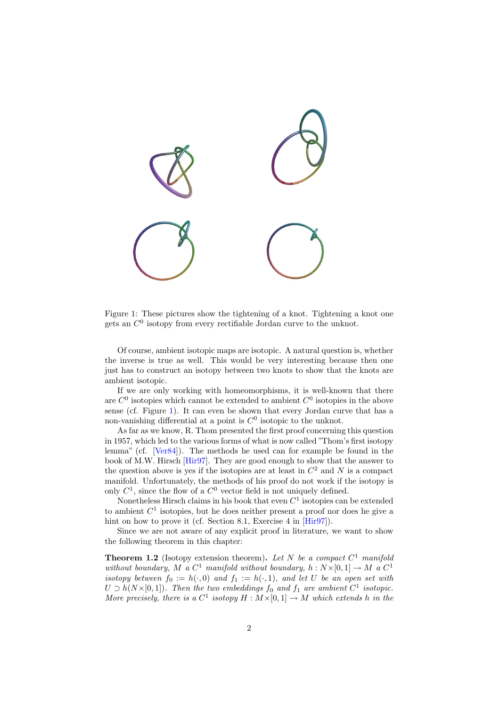

Figure 1: These pictures show the tightening of a knot. Tightening a knot one gets an  $C^0$  isotopy from every rectifiable Jordan curve to the unknot.

Of course, ambient isotopic maps are isotopic. A natural question is, whether the inverse is true as well. This would be very interesting because then one just has to construct an isotopy between two knots to show that the knots are ambient isotopic.

If we are only working with homeomorphisms, it is well-known that there are  $C^0$  isotopies which cannot be extended to ambient  $C^0$  isotopies in the above sense (cf. Figure 1). It can even be shown that every Jordan curve that has a non-vanishing differential at a point is  $C^0$  isotopic to the unknot.

As far as we know, R. Thom presented the first proof concerning this question in 1957, which led to the various forms of what is now called "Thom's first isotopy lemma" (cf. [Ver84]). The methods he used can for example be found in the book of M.W. Hirsch [Hir97]. They are good enough to show that the answer to the question above is yes if the isotopies are at least in  $C^2$  and N is a compact manifold. Unfortunately, the methods of his proof do not work if the isotopy is only  $C^1$ , since the flow of a  $C^0$  vector field is not uniquely defined.

Nonetheless Hirsch claims in his book that even  $C<sup>1</sup>$  isotopies can be extended to ambient  $C<sup>1</sup>$  isotopies, but he does neither present a proof nor does he give a hint on how to prove it (cf. Section 8.1, Exercise 4 in [Hir97]).

Since we are not aware of any explicit proof in literature, we want to show the following theorem in this chapter:

**Theorem 1.2** (Isotopy extension theorem). Let N be a compact  $C^1$  manifold without boundary, M a  $C^1$  manifold without boundary,  $h: N \times [0,1] \to M$  a  $C^1$ isotopy between  $f_0 := h(\cdot, 0)$  and  $f_1 := h(\cdot, 1)$ , and let U be an open set with  $U \supset h(N\times [0,1])$ . Then the two embeddings  $f_0$  and  $f_1$  are ambient  $C^1$  isotopic. More precisely, there is a  $C^1$  isotopy  $H : M \times [0, 1] \to M$  which extends h in the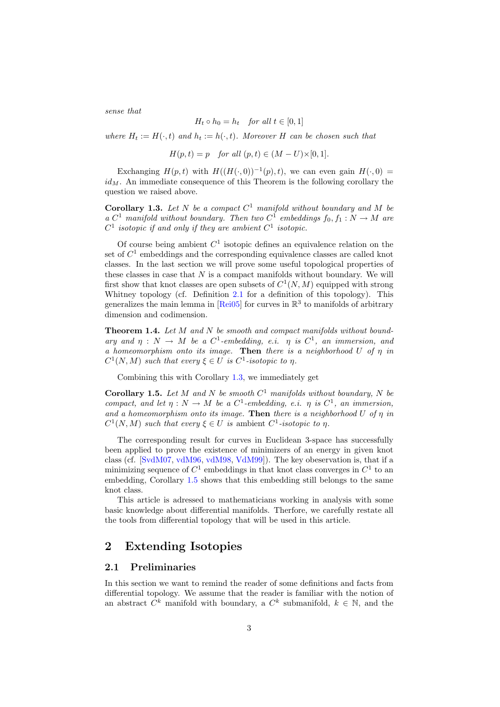sense that

$$
H_t \circ h_0 = h_t \quad \text{for all } t \in [0, 1]
$$

where  $H_t := H(\cdot, t)$  and  $h_t := h(\cdot, t)$ . Moreover H can be chosen such that

 $H(p, t) = p$  for all  $(p, t) \in (M - U) \times [0, 1].$ 

Exchanging  $H(p, t)$  with  $H((H(\cdot, 0))^{-1}(p), t)$ , we can even gain  $H(\cdot, 0)$  $id_M$ . An immediate consequence of this Theorem is the following corollary the question we raised above.

Corollary 1.3. Let  $N$  be a compact  $C^1$  manifold without boundary and  $M$  be a  $C^1$  manifold without boundary. Then two  $C^1$  embeddings  $f_0, f_1 : N \to M$  are  $C^1$  isotopic if and only if they are ambient  $C^1$  isotopic.

Of course being ambient  $C<sup>1</sup>$  isotopic defines an equivalence relation on the set of  $C<sup>1</sup>$  embeddings and the corresponding equivalence classes are called knot classes. In the last section we will prove some useful topological properties of these classes in case that  $N$  is a compact manifolds without boundary. We will first show that knot classes are open subsets of  $C^1(N, M)$  equipped with strong Whitney topology (cf. Definition 2.1 for a definition of this topology). This generalizes the main lemma in [Rei05] for curves in  $\mathbb{R}^3$  to manifolds of arbitrary dimension and codimension.

Theorem 1.4. Let M and N be smooth and compact manifolds without boundary and  $\eta : N \to M$  be a  $C^1$ -embedding, e.i.  $\eta$  is  $C^1$ , an immersion, and a homeomorphism onto its image. Then there is a neighborhood U of  $\eta$  in  $C^1(N,M)$  such that every  $\xi \in U$  is  $C^1$ -isotopic to  $\eta$ .

Combining this with Corollary 1.3, we immediately get

**Corollary 1.5.** Let M and N be smooth  $C^1$  manifolds without boundary, N be compact, and let  $\eta: N \to M$  be a  $C^1$ -embedding, e.i.  $\eta$  is  $C^1$ , an immersion, and a homeomorphism onto its image. Then there is a neighborhood  $U$  of  $\eta$  in  $C^1(N,M)$  such that every  $\xi \in U$  is ambient  $C^1$ -isotopic to  $\eta$ .

The corresponding result for curves in Euclidean 3-space has successfully been applied to prove the existence of minimizers of an energy in given knot class (cf. [SvdM07, vdM96, vdM98, VdM99]). The key obeservation is, that if a minimizing sequence of  $C^1$  embeddings in that knot class converges in  $C^1$  to an embedding, Corollary 1.5 shows that this embedding still belongs to the same knot class.

This article is adressed to mathematicians working in analysis with some basic knowledge about differential manifolds. Therfore, we carefully restate all the tools from differential topology that will be used in this article.

## 2 Extending Isotopies

#### 2.1 Preliminaries

In this section we want to remind the reader of some definitions and facts from differential topology. We assume that the reader is familiar with the notion of an abstract  $C^k$  manifold with boundary, a  $C^k$  submanifold,  $k \in \mathbb{N}$ , and the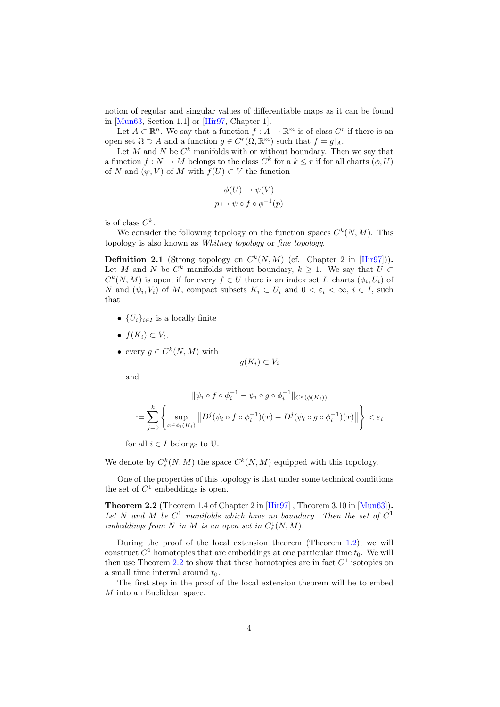notion of regular and singular values of differentiable maps as it can be found in [Mun63, Section 1.1] or [Hir97, Chapter 1].

Let  $A \subset \mathbb{R}^n$ . We say that a function  $f : A \to \mathbb{R}^m$  is of class  $C^r$  if there is an open set  $\Omega \supset A$  and a function  $g \in C^r(\Omega, \mathbb{R}^m)$  such that  $f = g|_A$ .

Let M and N be  $C^k$  manifolds with or without boundary. Then we say that a function  $f: N \to M$  belongs to the class  $C^k$  for a  $k \leq r$  if for all charts  $(\phi, U)$ of N and  $(\psi, V)$  of M with  $f(U) \subset V$  the function

$$
\phi(U) \to \psi(V)
$$
  

$$
p \mapsto \psi \circ f \circ \phi^{-1}(p)
$$

is of class  $C^k$ .

We consider the following topology on the function spaces  $C^k(N, M)$ . This topology is also known as Whitney topology or fine topology.

**Definition 2.1** (Strong topology on  $C^k(N,M)$  (cf. Chapter 2 in [Hir97])). Let M and N be  $C^k$  manifolds without boundary,  $k \geq 1$ . We say that  $U \subset$  $C^k(N,M)$  is open, if for every  $f \in U$  there is an index set I, charts  $(\phi_i, U_i)$  of N and  $(\psi_i, V_i)$  of M, compact subsets  $K_i \subset U_i$  and  $0 < \varepsilon_i < \infty$ ,  $i \in I$ , such that

- $\{U_i\}_{i\in I}$  is a locally finite
- $f(K_i) \subset V_i$ ,
- every  $g \in C^k(N,M)$  with

$$
g(K_i) \subset V_i
$$

and

$$
\|\psi_i \circ f \circ \phi_i^{-1} - \psi_i \circ g \circ \phi_i^{-1}\|_{C^k(\phi(K_i))}
$$
  

$$
:= \sum_{j=0}^k \left\{ \sup_{x \in \phi_i(K_i)} \|D^j(\psi_i \circ f \circ \phi_i^{-1})(x) - D^j(\psi_i \circ g \circ \phi_i^{-1})(x)\| \right\} < \varepsilon_i
$$

for all  $i \in I$  belongs to U.

We denote by  $C_s^k(N,M)$  the space  $C^k(N,M)$  equipped with this topology.

One of the properties of this topology is that under some technical conditions the set of  $C^1$  embeddings is open.

Theorem 2.2 (Theorem 1.4 of Chapter 2 in [Hir97] , Theorem 3.10 in [Mun63]). Let N and M be  $C^1$  manifolds which have no boundary. Then the set of  $C^1$ embeddings from N in M is an open set in  $C_s^1(N,M)$ .

During the proof of the local extension theorem (Theorem 1.2), we will construct  $C^1$  homotopies that are embeddings at one particular time  $t_0$ . We will then use Theorem 2.2 to show that these homotopies are in fact  $C^1$  isotopies on a small time interval around  $t_0$ .

The first step in the proof of the local extension theorem will be to embed M into an Euclidean space.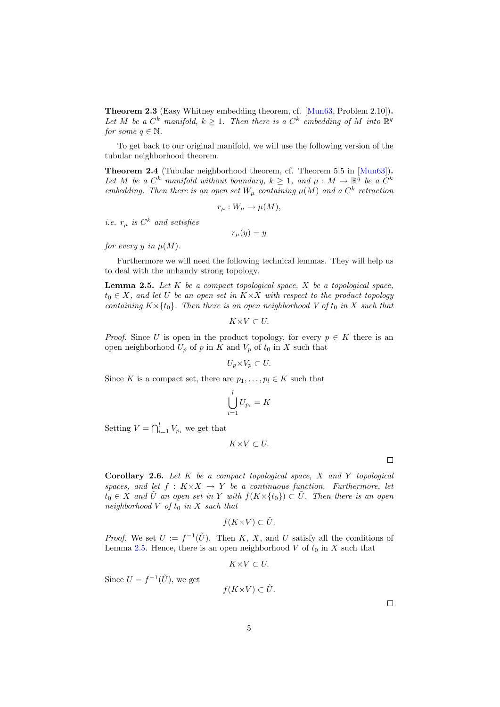Theorem 2.3 (Easy Whitney embedding theorem, cf. [Mun63, Problem 2.10]). Let M be a  $C^k$  manifold,  $k \geq 1$ . Then there is a  $C^k$  embedding of M into  $\mathbb{R}^q$ for some  $q \in \mathbb{N}$ .

To get back to our original manifold, we will use the following version of the tubular neighborhood theorem.

Theorem 2.4 (Tubular neighborhood theorem, cf. Theorem 5.5 in [Mun63]). Let M be a  $C^k$  manifold without boundary,  $k \geq 1$ , and  $\mu : M \to \mathbb{R}^q$  be a  $C^k$ embedding. Then there is an open set  $W_{\mu}$  containing  $\mu(M)$  and a  $C^{k}$  retraction

$$
r_{\mu}: W_{\mu} \to \mu(M),
$$

*i.e.*  $r_{\mu}$  *is*  $C^k$  *and satisfies* 

 $r_\mu(y) = y$ 

for every y in  $\mu(M)$ .

Furthermore we will need the following technical lemmas. They will help us to deal with the unhandy strong topology.

**Lemma 2.5.** Let  $K$  be a compact topological space,  $X$  be a topological space,  $t_0 \in X$ , and let U be an open set in  $K \times X$  with respect to the product topology containing  $K \times \{t_0\}$ . Then there is an open neighborhood V of  $t_0$  in X such that

$$
K {\times} V \subset U.
$$

*Proof.* Since U is open in the product topology, for every  $p \in K$  there is an open neighborhood  $U_p$  of p in K and  $V_p$  of  $t_0$  in X such that

$$
U_p \times V_p \subset U.
$$

Since K is a compact set, there are  $p_1, \ldots, p_l \in K$  such that

$$
\bigcup_{i=1}^{l} U_{p_i} = K
$$

Setting  $V = \bigcap_{i=1}^{l} V_{p_i}$  we get that

$$
K \times V \subset U.
$$

 $\Box$ 

Corollary 2.6. Let  $K$  be a compact topological space,  $X$  and  $Y$  topological spaces, and let  $f: K \times X \to Y$  be a continuous function. Furthermore, let  $t_0 \in X$  and  $\tilde{U}$  an open set in Y with  $f(K \times \{t_0\}) \subset \tilde{U}$ . Then there is an open neighborhood  $V$  of  $t_0$  in  $X$  such that

$$
f(K \times V) \subset \tilde{U}.
$$

*Proof.* We set  $U := f^{-1}(\tilde{U})$ . Then K, X, and U satisfy all the conditions of Lemma 2.5. Hence, there is an open neighborhood V of  $t_0$  in X such that

$$
K{\times}V\subset U.
$$

Since  $U = f^{-1}(\tilde{U})$ , we get

$$
f(K\times V) \subset \tilde{U}.
$$

 $\Box$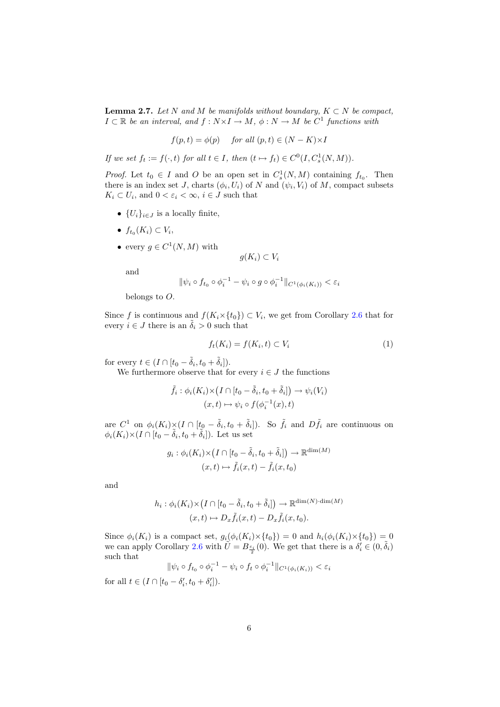**Lemma 2.7.** Let N and M be manifolds without boundary,  $K \subset N$  be compact,  $I \subset \mathbb{R}$  be an interval, and  $f: N \times I \to M$ ,  $\phi: N \to M$  be  $C^1$  functions with

$$
f(p,t) = \phi(p) \quad \text{for all } (p,t) \in (N - K) \times I
$$

If we set  $f_t := f(\cdot, t)$  for all  $t \in I$ , then  $(t \mapsto f_t) \in C^0(I, C^1_s(N, M))$ .

*Proof.* Let  $t_0 \in I$  and O be an open set in  $C_s^1(N,M)$  containing  $f_{t_0}$ . Then there is an index set J, charts  $(\phi_i, U_i)$  of N and  $(\psi_i, V_i)$  of M, compact subsets  $K_i \subset U_i$ , and  $0 < \varepsilon_i < \infty$ ,  $i \in J$  such that

- $\{U_i\}_{i\in J}$  is a locally finite,
- $f_{t_0}(K_i) \subset V_i$ ,
- every  $g \in C^1(N,M)$  with

$$
g(K_i) \subset V_i
$$

and

$$
\|\psi_i\circ f_{t_0}\circ \phi_i^{-1}-\psi_i\circ g\circ \phi_i^{-1}\|_{C^1(\phi_i(K_i))}<\varepsilon_i
$$

belongs to O.

Since f is continuous and  $f(K_i \times \{t_0\}) \subset V_i$ , we get from Corollary 2.6 that for every  $i \in J$  there is an  $\tilde{\delta}_i > 0$  such that

$$
f_t(K_i) = f(K_i, t) \subset V_i \tag{1}
$$

for every  $t \in (I \cap [t_0 - \tilde{\delta}_i, t_0 + \tilde{\delta}_i]).$ 

We furthermore observe that for every  $i \in J$  the functions

$$
\tilde{f}_i : \phi_i(K_i) \times (I \cap [t_0 - \tilde{\delta}_i, t_0 + \tilde{\delta}_i]) \to \psi_i(V_i)
$$

$$
(x, t) \mapsto \psi_i \circ f(\phi_i^{-1}(x), t)
$$

are  $C^1$  on  $\phi_i(K_i) \times (I \cap [t_0 - \tilde{\delta}_i, t_0 + \tilde{\delta}_i])$ . So  $\tilde{f}_i$  and  $D\tilde{f}_i$  are continuous on  $\phi_i(K_i) \times (I \cap [t_0 - \tilde{\delta}_i, t_0 + \tilde{\delta}_i])$ . Let us set

$$
g_i: \phi_i(K_i) \times (I \cap [t_0 - \tilde{\delta}_i, t_0 + \tilde{\delta}_i]) \to \mathbb{R}^{\dim(M)}
$$

$$
(x, t) \mapsto \tilde{f}_i(x, t) - \tilde{f}_i(x, t_0)
$$

and

$$
h_i: \phi_i(K_i) \times (I \cap [t_0 - \tilde{\delta}_i, t_0 + \tilde{\delta}_i]) \to \mathbb{R}^{\dim(N) \cdot \dim(M)}
$$

$$
(x, t) \mapsto D_x \tilde{f}_i(x, t) - D_x \tilde{f}_i(x, t_0).
$$

Since  $\phi_i(K_i)$  is a compact set,  $g_i(\phi_i(K_i) \times \{t_0\}) = 0$  and  $h_i(\phi_i(K_i) \times \{t_0\}) = 0$ we can apply Corollary 2.6 with  $\widetilde{U} = B_{\frac{\varepsilon_i}{2}}(0)$ . We get that there is a  $\delta_i' \in (0, \tilde{\delta}_i)$ such that

$$
\|\psi_i \circ f_{t_0} \circ \phi_i^{-1} - \psi_i \circ f_t \circ \phi_i^{-1}\|_{C^1(\phi_i(K_i))} < \varepsilon_i
$$

for all  $t \in (I \cap [t_0 - \delta'_i, t_0 + \delta'_i]).$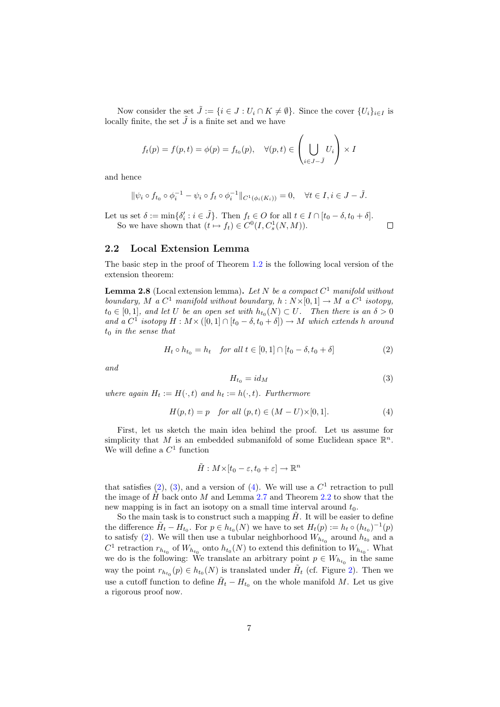Now consider the set  $\tilde{J} := \{i \in J : U_i \cap K \neq \emptyset\}$ . Since the cover  $\{U_i\}_{i \in I}$  is locally finite, the set  $\tilde{J}$  is a finite set and we have

$$
f_t(p) = f(p, t) = \phi(p) = f_{t_0}(p), \quad \forall (p, t) \in \left(\bigcup_{i \in J - \tilde{J}} U_i\right) \times I
$$

and hence

$$
\|\psi_i \circ f_{t_0} \circ \phi_i^{-1} - \psi_i \circ f_t \circ \phi_i^{-1}\|_{C^1(\phi_i(K_i))} = 0, \quad \forall t \in I, i \in J - \tilde{J}.
$$

Let us set  $\delta := \min\{\delta_i' : i \in \tilde{J}\}\)$ . Then  $f_t \in O$  for all  $t \in I \cap [t_0 - \delta, t_0 + \delta]$ . So we have shown that  $(t \mapsto f_t) \in C^0(I, C_s^1(N, M)).$ 

#### 2.2 Local Extension Lemma

The basic step in the proof of Theorem 1.2 is the following local version of the extension theorem:

**Lemma 2.8** (Local extension lemma). Let N be a compact  $C^1$  manifold without boundary, M a  $C^1$  manifold without boundary,  $h: N \times [0,1] \to M$  a  $C^1$  isotopy,  $t_0 \in [0,1]$ , and let U be an open set with  $h_{t_0}(N) \subset U$ . Then there is an  $\delta > 0$ and a  $C^1$  isotopy  $H: M \times ([0,1] \cap [t_0 - \delta, t_0 + \delta]) \to M$  which extends h around  $t_0$  in the sense that

$$
H_t \circ h_{t_0} = h_t \quad \text{for all } t \in [0, 1] \cap [t_0 - \delta, t_0 + \delta]
$$
 (2)

and

$$
H_{t_0} = id_M \tag{3}
$$

 $\Box$ 

where again  $H_t := H(\cdot, t)$  and  $h_t := h(\cdot, t)$ . Furthermore

$$
H(p,t) = p \quad for all (p,t) \in (M-U) \times [0,1].
$$
 (4)

First, let us sketch the main idea behind the proof. Let us assume for simplicity that M is an embedded submanifold of some Euclidean space  $\mathbb{R}^n$ . We will define a  $C^1$  function

$$
\tilde{H}: M \times [t_0 - \varepsilon, t_0 + \varepsilon] \to \mathbb{R}^n
$$

that satisfies  $(2)$ ,  $(3)$ , and a version of  $(4)$ . We will use a  $C<sup>1</sup>$  retraction to pull the image of  $\hat{H}$  back onto M and Lemma 2.7 and Theorem 2.2 to show that the new mapping is in fact an isotopy on a small time interval around  $t_0$ .

So the main task is to construct such a mapping  $H$ . It will be easier to define the difference  $\tilde{H}_t - H_{t_0}$ . For  $p \in h_{t_0}(N)$  we have to set  $H_t(p) := h_t \circ (h_{t_0})^{-1}(p)$ to satisfy (2). We will then use a tubular neighborhood  $W_{h_{t_0}}$  around  $h_{t_0}$  and a  $C^1$  retraction  $r_{h_{t_0}}$  of  $W_{h_{t_0}}$  onto  $h_{t_0}(N)$  to extend this definition to  $W_{h_{t_0}}$ . What we do is the following: We translate an arbitrary point  $p \in W_{h_{t_0}}$  in the same way the point  $r_{h_{t_0}}(p) \in h_{t_0}(N)$  is translated under  $\tilde{H}_t$  (cf. Figure 2). Then we use a cutoff function to define  $\tilde{H}_t - H_{t_0}$  on the whole manifold M. Let us give a rigorous proof now.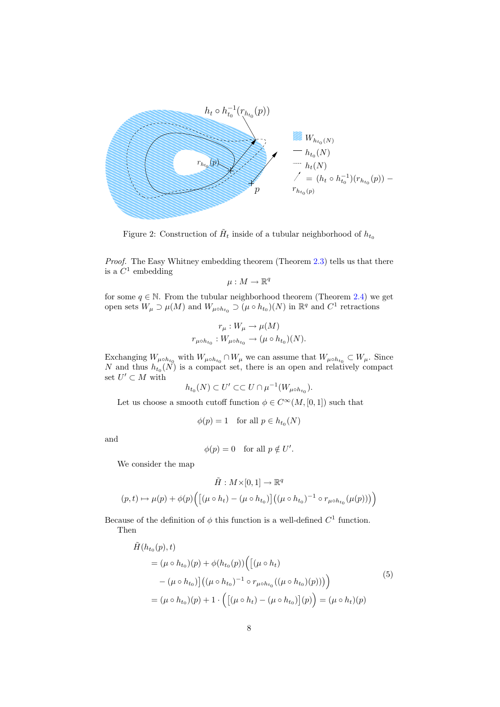

Figure 2: Construction of  $\tilde{H}_t$  inside of a tubular neighborhood of  $h_{t_0}$ 

Proof. The Easy Whitney embedding theorem (Theorem 2.3) tells us that there is a  $C^1$  embedding

 $\mu: M \to \mathbb{R}^q$ 

for some  $q \in \mathbb{N}$ . From the tubular neighborhood theorem (Theorem 2.4) we get open sets  $W_{\mu} \supset \mu(M)$  and  $W_{\mu \circ h_{t_0}} \supset (\mu \circ h_{t_0})(N)$  in  $\mathbb{R}^q$  and  $C^1$  retractions

$$
r_{\mu}: W_{\mu} \to \mu(M)
$$
  

$$
r_{\mu \circ h_{t_0}}: W_{\mu \circ h_{t_0}} \to (\mu \circ h_{t_0})(N).
$$

Exchanging  $W_{\mu \circ h_{t_0}}$  with  $W_{\mu \circ h_{t_0}} \cap W_{\mu}$  we can assume that  $W_{\mu \circ h_{t_0}} \subset W_{\mu}$ . Since N and thus  $h_{t_0}(N)$  is a compact set, there is an open and relatively compact set  $U' \subset M$  with

$$
h_{t_0}(N) \subset U' \subset\subset U \cap \mu^{-1}(W_{\mu \circ h_{t_0}}).
$$

Let us choose a smooth cutoff function  $\phi \in C^{\infty}(M, [0, 1])$  such that

$$
\phi(p) = 1 \quad \text{for all } p \in h_{t_0}(N)
$$

and

$$
\phi(p) = 0 \quad \text{for all } p \notin U'.
$$

We consider the map

$$
\tilde{H}: M\times[0,1]\to\mathbb{R}^q
$$

$$
(p,t)\mapsto\mu(p)+\phi(p)\Big(\big[(\mu\circ h_t)-(\mu\circ h_{t_0})\big]\big((\mu\circ h_{t_0})^{-1}\circ r_{\mu\circ h_{t_0}}(\mu(p))\big)\Big)
$$

Because of the definition of  $\phi$  this function is a well-defined  $C^1$  function. Then

$$
\tilde{H}(h_{t_0}(p), t) = (\mu \circ h_{t_0})(p) + \phi(h_{t_0}(p)) \Big( [(\mu \circ h_t) - (\mu \circ h_{t_0})] ((\mu \circ h_{t_0})^{-1} \circ r_{\mu \circ h_{t_0}} ((\mu \circ h_{t_0})(p))) \Big)
$$
\n
$$
= (\mu \circ h_{t_0})(p) + 1 \cdot \Big( [(\mu \circ h_t) - (\mu \circ h_{t_0})] (p) \Big) = (\mu \circ h_t)(p)
$$
\n
$$
(5)
$$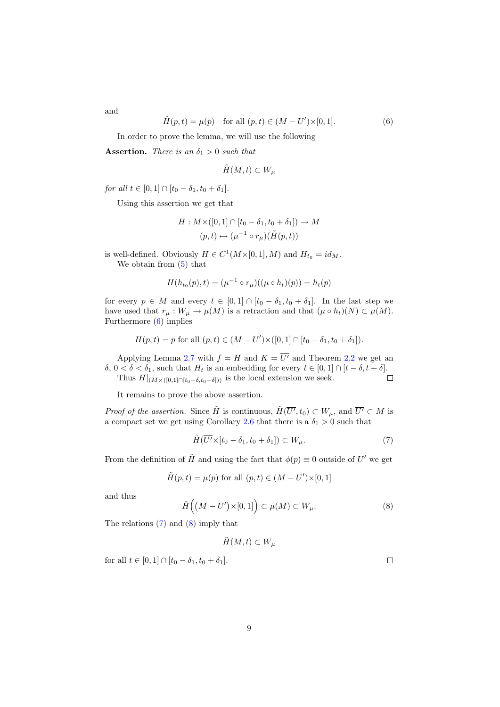and

$$
\tilde{H}(p,t) = \mu(p) \text{ for all } (p,t) \in (M - U') \times [0,1].
$$
 (6)

In order to prove the lemma, we will use the following

**Assertion.** There is an  $\delta_1 > 0$  such that

$$
\tilde{H}(M,t) \subset W_{\mu}
$$

for all  $t \in [0, 1] \cap [t_0 - \delta_1, t_0 + \delta_1].$ 

Using this assertion we get that

$$
H: M \times ([0,1] \cap [t_0 - \delta_1, t_0 + \delta_1]) \to M
$$

$$
(p,t) \mapsto (\mu^{-1} \circ r_{\mu})(\tilde{H}(p,t))
$$

is well-defined. Obviously  $H \in C^1(M\times [0,1], M)$  and  $H_{t_0} = id_M$ . We obtain from (5) that

$$
H(h_{t_0}(p), t) = (\mu^{-1} \circ r_{\mu})((\mu \circ h_t)(p)) = h_t(p)
$$

for every  $p \in M$  and every  $t \in [0,1] \cap [t_0 - \delta_1, t_0 + \delta_1]$ . In the last step we have used that  $r_{\mu}: W_{\mu} \to \mu(M)$  is a retraction and that  $(\mu \circ h_t)(N) \subset \mu(M)$ . Furthermore (6) implies

$$
H(p,t) = p \text{ for all } (p,t) \in (M-U') \times ([0,1] \cap [t_0 - \delta_1, t_0 + \delta_1]).
$$

Applying Lemma 2.7 with  $f = H$  and  $K = \overline{U'}$  and Theorem 2.2 we get an δ, 0 < δ < δ<sub>1</sub>, such that  $H_t$  is an embedding for every  $t \in [0, 1] \cap [t - \delta, t + \delta]$ .<br>Thus  $H|_{(M \times (0, 1]) \cap [t - \delta, t + \delta])}$  is the local extension we seek. □ Thus  $H|_{(M\times([0,1]\cap[t_0-\delta,t_0+\delta]))}$  is the local extension we seek.

It remains to prove the above assertion.

*Proof of the assertion.* Since  $\tilde{H}$  is continuous,  $\tilde{H}(\overline{U'}, t_0) \subset W_\mu$ , and  $\overline{U'} \subset M$  is a compact set we get using Corollary 2.6 that there is a  $\delta_1 > 0$  such that

$$
\tilde{H}(\overline{U'}\times[t_0-\delta_1,t_0+\delta_1])\subset W_{\mu}.\tag{7}
$$

From the definition of  $\tilde{H}$  and using the fact that  $\phi(p) \equiv 0$  outside of U' we get

$$
\tilde{H}(p,t) = \mu(p)
$$
 for all  $(p,t) \in (M - U') \times [0,1]$ 

and thus

$$
\tilde{H}\left((M-U')\times[0,1]\right)\subset\mu(M)\subset W_{\mu}.
$$
\n(8)

The relations (7) and (8) imply that

$$
\tilde{H}(M,t) \subset W_{\mu}
$$

for all  $t \in [0, 1] \cap [t_0 - \delta_1, t_0 + \delta_1].$ 

9

 $\Box$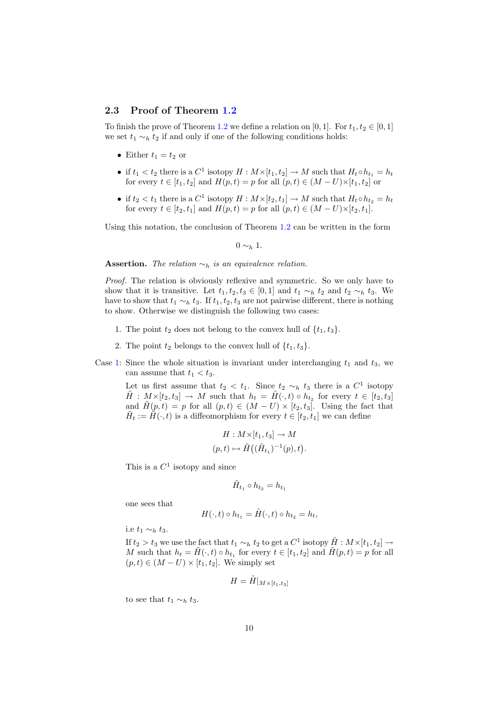#### 2.3 Proof of Theorem 1.2

To finish the prove of Theorem 1.2 we define a relation on [0, 1]. For  $t_1, t_2 \in [0, 1]$ we set  $t_1 \sim_h t_2$  if and only if one of the following conditions holds:

- Either  $t_1 = t_2$  or
- if  $t_1 < t_2$  there is a  $C^1$  isotopy  $H : M \times [t_1, t_2] \to M$  such that  $H_t \circ h_{t_1} = h_t$ for every  $t \in [t_1, t_2]$  and  $H(p, t) = p$  for all  $(p, t) \in (M - U) \times [t_1, t_2]$  or
- if  $t_2 < t_1$  there is a  $C^1$  isotopy  $H : M \times [t_2, t_1] \to M$  such that  $H_t \circ h_{t_2} = h_t$ for every  $t \in [t_2, t_1]$  and  $H(p, t) = p$  for all  $(p, t) \in (M - U) \times [t_2, t_1]$ .

Using this notation, the conclusion of Theorem 1.2 can be written in the form

 $0 \sim_b 1$ .

Assertion. The relation  $\sim_h$  is an equivalence relation.

Proof. The relation is obviously reflexive and symmetric. So we only have to show that it is transitive. Let  $t_1, t_2, t_3 \in [0,1]$  and  $t_1 \sim_h t_2$  and  $t_2 \sim_h t_3$ . We have to show that  $t_1 \sim_h t_3$ . If  $t_1, t_2, t_3$  are not pairwise different, there is nothing to show. Otherwise we distinguish the following two cases:

- 1. The point  $t_2$  does not belong to the convex hull of  $\{t_1, t_3\}$ .
- 2. The point  $t_2$  belongs to the convex hull of  $\{t_1, t_3\}$ .
- Case 1: Since the whole situation is invariant under interchanging  $t_1$  and  $t_3$ , we can assume that  $t_1 < t_3$ .

Let us first assume that  $t_2 < t_1$ . Since  $t_2 \sim_h t_3$  there is a  $C^1$  isotopy  $\tilde{H}$  :  $M \times [t_2, t_3] \rightarrow M$  such that  $h_t = \tilde{H}(\cdot, t) \circ h_{t_2}$  for every  $t \in [t_2, t_3]$ and  $\tilde{H}(p,t) = p$  for all  $(p,t) \in (M-U) \times [t_2, t_3]$ . Using the fact that  $\tilde{H}_t := \tilde{H}(\cdot, t)$  is a diffeomorphism for every  $t \in [t_2, t_1]$  we can define

$$
H: M \times [t_1, t_3] \to M
$$
  

$$
(p, t) \mapsto \tilde{H}((\tilde{H}_{t_1})^{-1}(p), t).
$$

This is a  $C^1$  isotopy and since

$$
\tilde{H}_{t_1}\circ h_{t_2}=h_{t_1}
$$

one sees that

$$
H(\cdot,t) \circ h_{t_1} = \tilde{H}(\cdot,t) \circ h_{t_2} = h_t,
$$

i.e  $t_1 \sim_h t_3$ .

If  $t_2 > t_3$  we use the fact that  $t_1 \sim_h t_2$  to get a  $C^1$  isotopy  $\tilde{H}: M \times [t_1, t_2] \to$ M such that  $h_t = \tilde{H}(\cdot, t) \circ h_{t_1}$  for every  $t \in [t_1, t_2]$  and  $\tilde{H}(p, t) = p$  for all  $(p, t) \in (M - U) \times [t_1, t_2]$ . We simply set

$$
H = \tilde{H}|_{M \times [t_1, t_3]}
$$

to see that  $t_1 \sim_h t_3$ .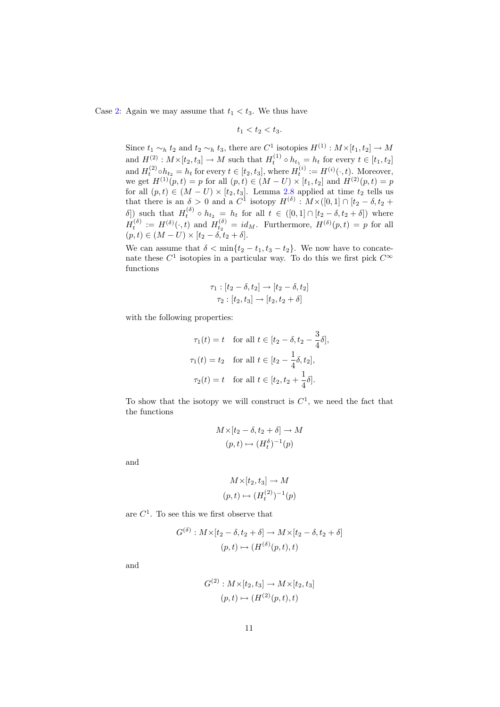Case 2: Again we may assume that  $t_1 < t_3$ . We thus have

$$
t_1 < t_2 < t_3.
$$

Since  $t_1 \sim_h t_2$  and  $t_2 \sim_h t_3$ , there are  $C^1$  isotopies  $H^{(1)} : M \times [t_1, t_2] \to M$ and  $H^{(2)}: M \times [t_2, t_3] \to M$  such that  $H_t^{(1)} \circ h_{t_1} = h_t$  for every  $t \in [t_1, t_2]$ and  $H_t^{(2)} \circ h_{t_2} = h_t$  for every  $t \in [t_2, t_3]$ , where  $H_t^{(i)} := H^{(i)}(\cdot, t)$ . Moreover, we get  $H^{(1)}(p,t) = p$  for all  $(p, t) \in (M - U) \times [t_1, t_2]$  and  $H^{(2)}(p,t) = p$ for all  $(p, t) \in (M - U) \times [t_2, t_3]$ . Lemma 2.8 applied at time  $t_2$  tells us that there is an  $\delta > 0$  and a  $C^1$  isotopy  $H^{(\delta)} : M \times ([0,1] \cap [t_2 - \delta, t_2 +$ δ]) such that  $H_t^{(\delta)} \circ h_{t_2} = h_t$  for all  $t \in ([0,1] \cap [t_2 - \delta, t_2 + \delta])$  where  $H_t^{(\delta)} := H^{(\delta)}(\cdot, t)$  and  $H_{t_2}^{(\delta)} = id_M$ . Furthermore,  $H^{(\delta)}(p, t) = p$  for all  $(p, t) \in (M - U) \times [t_2 - \delta, t_2 + \delta].$ 

We can assume that  $\delta < \min\{t_2 - t_1, t_3 - t_2\}$ . We now have to concatenate these  $C^1$  isotopies in a particular way. To do this we first pick  $C^{\infty}$ functions

$$
\tau_1: [t_2 - \delta, t_2] \to [t_2 - \delta, t_2]
$$

$$
\tau_2: [t_2, t_3] \to [t_2, t_2 + \delta]
$$

with the following properties:

$$
\tau_1(t) = t \quad \text{for all } t \in [t_2 - \delta, t_2 - \frac{3}{4}\delta],
$$
  

$$
\tau_1(t) = t_2 \quad \text{for all } t \in [t_2 - \frac{1}{4}\delta, t_2],
$$
  

$$
\tau_2(t) = t \quad \text{for all } t \in [t_2, t_2 + \frac{1}{4}\delta].
$$

To show that the isotopy we will construct is  $C<sup>1</sup>$ , we need the fact that the functions

$$
M \times [t_2 - \delta, t_2 + \delta] \to M
$$

$$
(p, t) \mapsto (H_t^{\delta})^{-1}(p)
$$

and

$$
M \times [t_2, t_3] \to M
$$

$$
(p, t) \mapsto (H_t^{(2)})^{-1}(p)
$$

are  $C<sup>1</sup>$ . To see this we first observe that

$$
G^{(\delta)}: M \times [t_2 - \delta, t_2 + \delta] \to M \times [t_2 - \delta, t_2 + \delta]
$$

$$
(p, t) \mapsto (H^{(\delta)}(p, t), t)
$$

and

$$
G^{(2)}: M \times [t_2, t_3] \to M \times [t_2, t_3]
$$

$$
(p, t) \mapsto (H^{(2)}(p, t), t)
$$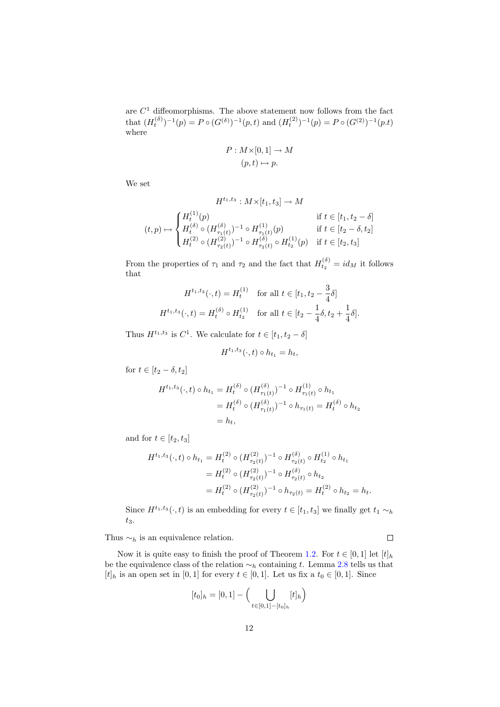are  $C<sup>1</sup>$  diffeomorphisms. The above statement now follows from the fact that  $(H_t^{(\delta)})^{-1}(p) = P \circ (G^{(\delta)})^{-1}(p, t)$  and  $(H_t^{(2)})^{-1}(p) = P \circ (G^{(2)})^{-1}(p, t)$ where

$$
P: M \times [0,1] \to M
$$

$$
(p,t) \mapsto p.
$$

We set

$$
H^{t_1,t_3}: M \times [t_1, t_3] \to M
$$
  
\n
$$
(t,p) \mapsto \begin{cases} H_t^{(1)}(p) & \text{if } t \in [t_1, t_2 - \delta] \\ H_t^{(\delta)} \circ (H_{\tau_1(t)}^{(\delta)})^{-1} \circ H_{\tau_1(t)}^{(1)}(p) & \text{if } t \in [t_2 - \delta, t_2] \\ H_t^{(2)} \circ (H_{\tau_2(t)}^{(2)})^{-1} \circ H_{\tau_2(t)}^{(\delta)} \circ H_{t_2}^{(1)}(p) & \text{if } t \in [t_2, t_3] \end{cases}
$$

From the properties of  $\tau_1$  and  $\tau_2$  and the fact that  $H_{t_2}^{(\delta)} = id_M$  it follows that

$$
H^{t_1, t_3}(\cdot, t) = H_t^{(1)} \quad \text{for all } t \in [t_1, t_2 - \frac{3}{4}\delta]
$$

$$
H^{t_1, t_3}(\cdot, t) = H_t^{(\delta)} \circ H_{t_2}^{(1)} \quad \text{for all } t \in [t_2 - \frac{1}{4}\delta, t_2 + \frac{1}{4}\delta].
$$

Thus  $H^{t_1,t_3}$  is  $C^1$ . We calculate for  $t \in [t_1, t_2 - \delta]$ 

$$
H^{t_1,t_3}(\cdot,t)\circ h_{t_1}=h_t,
$$

for  $t \in [t_2 - \delta, t_2]$ 

$$
H^{t_1, t_3}(\cdot, t) \circ h_{t_1} = H_t^{(\delta)} \circ (H_{\tau_1(t)}^{(\delta)})^{-1} \circ H_{\tau_1(t)}^{(1)} \circ h_{t_1}
$$
  
=  $H_t^{(\delta)} \circ (H_{\tau_1(t)}^{(\delta)})^{-1} \circ h_{\tau_1(t)} = H_t^{(\delta)} \circ h_{t_2}$   
=  $h_t$ ,

and for  $t \in [t_2, t_3]$ 

$$
H^{t_1,t_3}(\cdot,t) \circ h_{t_1} = H_t^{(2)} \circ (H_{\tau_2(t)}^{(2)})^{-1} \circ H_{\tau_2(t)}^{(\delta)} \circ H_{t_2}^{(1)} \circ h_{t_1}
$$
  
=  $H_t^{(2)} \circ (H_{\tau_2(t)}^{(2)})^{-1} \circ H_{\tau_2(t)}^{(\delta)} \circ h_{t_2}$   
=  $H_t^{(2)} \circ (H_{\tau_2(t)}^{(2)})^{-1} \circ h_{\tau_2(t)} = H_t^{(2)} \circ h_{t_2} = h_t.$ 

Since  $H^{t_1,t_3}(\cdot,t)$  is an embedding for every  $t \in [t_1,t_3]$  we finally get  $t_1 \sim_h$  $t_3$ .

Thus  $\sim_h$  is an equivalence relation.

 $\Box$ 

Now it is quite easy to finish the proof of Theorem 1.2. For  $t \in [0,1]$  let  $[t]_h$ be the equivalence class of the relation  $\sim_h$  containing t. Lemma 2.8 tells us that  $[t]_h$  is an open set in [0, 1] for every  $t \in [0, 1]$ . Let us fix a  $t_0 \in [0, 1]$ . Since

$$
[t_0]_h = [0, 1] - \Big(\bigcup_{t \in [0, 1] - [t_0]_h} [t]_h\Big)
$$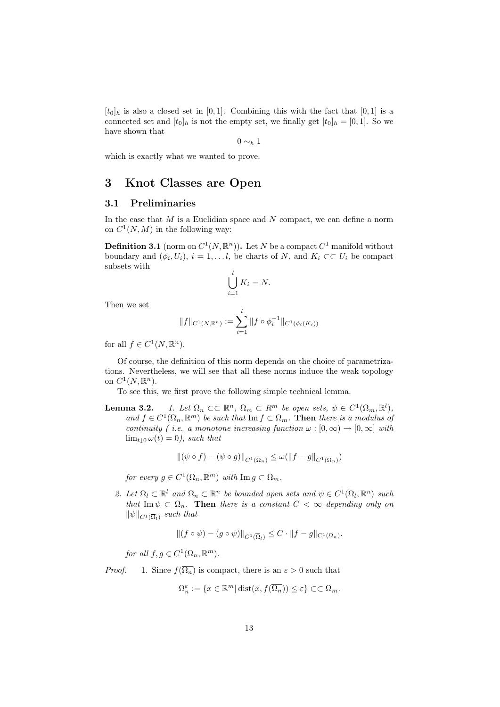$[t<sub>0</sub>]<sub>h</sub>$  is also a closed set in [0, 1]. Combining this with the fact that [0, 1] is a connected set and  $[t_0]_h$  is not the empty set, we finally get  $[t_0]_h = [0, 1]$ . So we have shown that

$$
0 \sim_h 1
$$

which is exactly what we wanted to prove.

## 3 Knot Classes are Open

#### 3.1 Preliminaries

In the case that  $M$  is a Euclidian space and  $N$  compact, we can define a norm on  $C^1(N,M)$  in the following way:

**Definition 3.1** (norm on  $C^1(N, \mathbb{R}^n)$ ). Let N be a compact  $C^1$  manifold without boundary and  $(\phi_i, U_i)$ ,  $i = 1, \ldots l$ , be charts of N, and  $K_i \subset \subset U_i$  be compact subsets with

$$
\bigcup_{i=1}^{l} K_i = N.
$$

Then we set

$$
||f||_{C^1(N,\mathbb{R}^n)} := \sum_{i=1}^l ||f \circ \phi_i^{-1}||_{C^1(\phi_i(K_i))}
$$

for all  $f \in C^1(N, \mathbb{R}^n)$ .

Of course, the definition of this norm depends on the choice of parametrizations. Nevertheless, we will see that all these norms induce the weak topology on  $C^1(N, \mathbb{R}^n)$ .

To see this, we first prove the following simple technical lemma.

**Lemma 3.2.** 1. Let  $\Omega_n \subset \mathbb{R}^n$ ,  $\Omega_m \subset R^m$  be open sets,  $\psi \in C^1(\Omega_m, \mathbb{R}^l)$ , and  $f \in C^1(\overline{\Omega}_n, \mathbb{R}^m)$  be such that  $\text{Im } f \subset \Omega_m$ . Then there is a modulus of continuity ( *i.e.* a monotone increasing function  $\omega : [0, \infty) \to [0, \infty]$  with  $\lim_{t\to 0} \omega(t) = 0$ , such that

$$
\|(\psi \circ f) - (\psi \circ g)\|_{C^1(\overline{\Omega}_n)} \le \omega(\|f - g\|_{C^1(\overline{\Omega}_n)})
$$

for every  $g \in C^1(\overline{\Omega}_n, \mathbb{R}^m)$  with  $\text{Im } g \subset \Omega_m$ .

2. Let  $\Omega_l \subset \mathbb{R}^l$  and  $\Omega_n \subset \mathbb{R}^n$  be bounded open sets and  $\psi \in C^1(\overline{\Omega}_l, \mathbb{R}^n)$  such that Im  $\psi \subset \Omega_n$ . Then there is a constant  $C < \infty$  depending only on  $\|\psi\|_{C^1(\overline{\Omega}_l)}$  such that

$$
||(f \circ \psi) - (g \circ \psi)||_{C^1(\overline{\Omega}_l)} \leq C \cdot ||f - g||_{C^1(\Omega_n)}.
$$

for all  $f, g \in C^1(\Omega_n, \mathbb{R}^m)$ .

*Proof.* 1. Since  $f(\overline{\Omega_n})$  is compact, there is an  $\varepsilon > 0$  such that

$$
\Omega_n^{\varepsilon} := \{ x \in \mathbb{R}^m | \operatorname{dist}(x, f(\overline{\Omega_n})) \le \varepsilon \} \subset \subset \Omega_m.
$$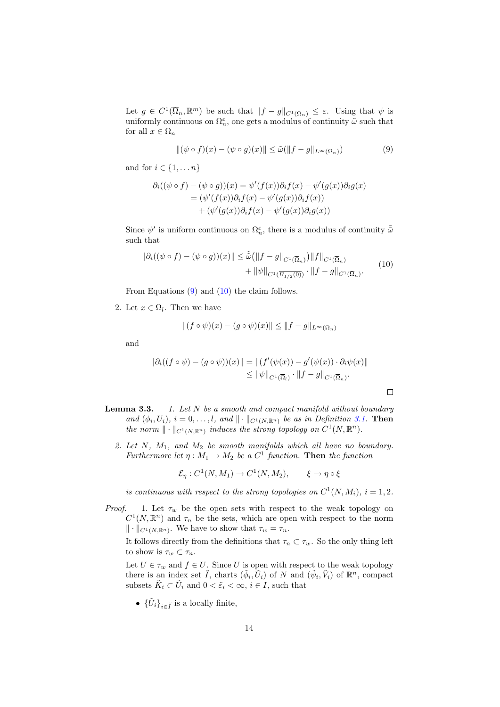Let  $g \in C^1(\overline{\Omega}_n, \mathbb{R}^m)$  be such that  $||f - g||_{C^1(\Omega_n)} \leq \varepsilon$ . Using that  $\psi$  is uniformly continuous on  $\Omega_n^{\varepsilon}$ , one gets a modulus of continuity  $\tilde{\omega}$  such that for all  $x \in \Omega_n$ 

$$
\|(\psi \circ f)(x) - (\psi \circ g)(x)\| \le \tilde{\omega}(\|f - g\|_{L^{\infty}(\Omega_n)})
$$
\n(9)

and for  $i \in \{1, \ldots n\}$ 

$$
\partial_i((\psi \circ f) - (\psi \circ g))(x) = \psi'(f(x))\partial_i f(x) - \psi'(g(x))\partial_i g(x)
$$
  
= 
$$
(\psi'(f(x))\partial_i f(x) - \psi'(g(x))\partial_i f(x))
$$
  
+ 
$$
(\psi'(g(x))\partial_i f(x) - \psi'(g(x))\partial_i g(x))
$$

Since  $\psi'$  is uniform continuous on  $\Omega_n^{\varepsilon}$ , there is a modulus of continuity  $\tilde{\tilde{\omega}}$ such that

$$
\|\partial_i((\psi \circ f) - (\psi \circ g))(x)\| \le \tilde{\tilde{\omega}}\left(\|f - g\|_{C^1(\overline{\Omega}_n)}\right) \|f\|_{C^1(\overline{\Omega}_n)} + \|\psi\|_{C^1(\overline{\Omega}_1/2(0))} \cdot \|f - g\|_{C^1(\overline{\Omega}_n)}.
$$
\n(10)

From Equations (9) and (10) the claim follows.

2. Let  $x \in \Omega_l$ . Then we have

$$
||(f \circ \psi)(x) - (g \circ \psi)(x)|| \le ||f - g||_{L^{\infty}(\Omega_n)}
$$

and

$$
\|\partial_i((f\circ\psi)-(g\circ\psi))(x)\|=\|(f'(\psi(x))-g'(\psi(x))\cdot\partial_i\psi(x)\|
$$
  

$$
\leq \|\psi\|_{C^1(\overline{\Omega}_t)}\cdot \|f-g\|_{C^1(\overline{\Omega}_n)}.
$$

 $\Box$ 

- **Lemma 3.3.** 1. Let  $N$  be a smooth and compact manifold without boundary and  $(\phi_i, U_i)$ ,  $i = 0, \ldots, l$ , and  $\| \cdot \|_{C^1(N, \mathbb{R}^n)}$  be as in Definition 3.1. Then the norm  $\|\cdot\|_{C^1(N,\mathbb{R}^n)}$  induces the strong topology on  $C^1(N,\mathbb{R}^n)$ .
	- 2. Let  $N$ ,  $M_1$ , and  $M_2$  be smooth manifolds which all have no boundary. Furthermore let  $\eta: M_1 \to M_2$  be a  $C^1$  function. Then the function

$$
\mathcal{E}_{\eta}: C^1(N, M_1) \to C^1(N, M_2), \qquad \xi \to \eta \circ \xi
$$

is continuous with respect to the strong topologies on  $C^1(N, M_i)$ ,  $i = 1, 2$ .

*Proof.* 1. Let  $\tau_w$  be the open sets with respect to the weak topology on  $C^1(N,\mathbb{R}^n)$  and  $\tau_n$  be the sets, which are open with respect to the norm  $\|\cdot\|_{C^1(N,\mathbb{R}^n)}$ . We have to show that  $\tau_w = \tau_n$ .

It follows directly from the definitions that  $\tau_n \subset \tau_w.$  So the only thing left to show is  $\tau_w \subset \tau_n$ .

Let  $U \in \tau_w$  and  $f \in U$ . Since U is open with respect to the weak topology there is an index set  $\tilde{I}$ , charts  $(\tilde{\phi}_i, \tilde{U}_i)$  of N and  $(\tilde{\psi}_i, \tilde{V}_i)$  of  $\mathbb{R}^n$ , compact subsets  $\tilde{K}_i \subset \tilde{U}_i$  and  $0 < \tilde{\varepsilon}_i < \infty$ ,  $i \in I$ , such that

•  $\{ \tilde{U}_i \}_{i \in \tilde{I}}$  is a locally finite,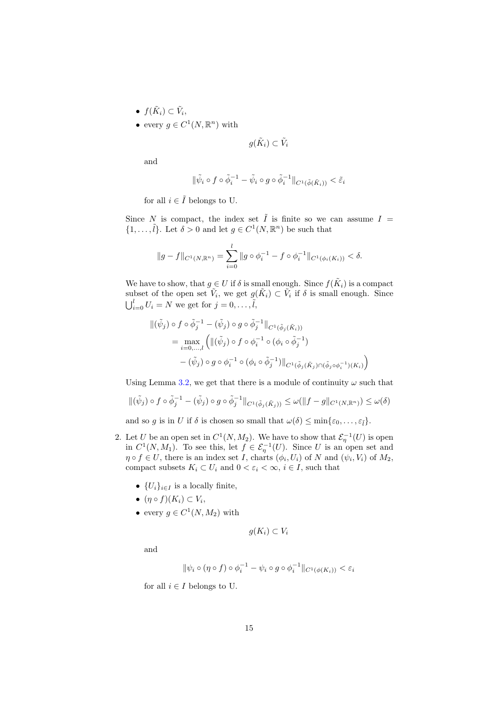- $f(\tilde{K}_i) \subset \tilde{V}_i$ ,
- every  $g \in C^1(N, \mathbb{R}^n)$  with

$$
g(\tilde{K}_i) \subset \tilde{V}_i
$$

and

$$
\|\tilde{\psi}_i\circ f\circ \tilde{\phi}_i^{-1}-\tilde{\psi}_i\circ g\circ \tilde{\phi}_i^{-1}\|_{C^1(\tilde{\phi}(\tilde{K}_i))}<\tilde{\varepsilon}_i
$$

for all  $i \in \tilde{I}$  belongs to U.

Since N is compact, the index set  $\tilde{I}$  is finite so we can assume  $I =$  $\{1,\ldots,\tilde{l}\}.$  Let  $\delta > 0$  and let  $g \in C^1(N,\mathbb{R}^n)$  be such that

$$
||g - f||_{C^{1}(N, \mathbb{R}^{n})} = \sum_{i=0}^{l} ||g \circ \phi_{i}^{-1} - f \circ \phi_{i}^{-1}||_{C^{1}(\phi_{i}(K_{i}))} < \delta.
$$

We have to show, that  $g \in U$  if  $\delta$  is small enough. Since  $f(\tilde{K}_i)$  is a compact subset of the open set  $\tilde{V}_i$ , we get  $g(\tilde{K}_i) \subset \tilde{V}_i$  if  $\delta$  is small enough. Since  $\bigcup_{i=0}^{l} U_i = N$  we get for  $j = 0, \ldots, \tilde{l}$ ,

$$
\begin{aligned} ||(\tilde{\psi}_j) \circ f \circ \tilde{\phi}_j^{-1} - (\tilde{\psi}_j) \circ g \circ \tilde{\phi}_j^{-1} ||_{C^1(\tilde{\phi}_j(\tilde{K}_i))} \\ &= \max_{i=0,\dots,l} \left( ||(\tilde{\psi}_j) \circ f \circ \phi_i^{-1} \circ (\phi_i \circ \tilde{\phi}_j^{-1}) \right. \\ &\left. - (\tilde{\psi}_j) \circ g \circ \phi_i^{-1} \circ (\phi_i \circ \tilde{\phi}_j^{-1}) ||_{C^1(\tilde{\phi}_j(\tilde{K}_j) \cap (\tilde{\phi}_j \circ \phi_i^{-1})(K_i)} \right) \end{aligned}
$$

Using Lemma 3.2, we get that there is a module of continuity  $\omega$  such that

$$
\|(\tilde{\psi}_j) \circ f \circ \tilde{\phi}_j^{-1} - (\tilde{\psi}_j) \circ g \circ \tilde{\phi}_j^{-1}\|_{C^1(\tilde{\phi}_j(\tilde{K}_j))} \leq \omega(\|f - g\|_{C^1(N, \mathbb{R}^n)}) \leq \omega(\delta)
$$

and so g is in U if  $\delta$  is chosen so small that  $\omega(\delta) \leq \min\{\varepsilon_0, \ldots, \varepsilon_{\tilde{l}}\}.$ 

- 2. Let U be an open set in  $C^1(N, M_2)$ . We have to show that  $\mathcal{E}_\eta^{-1}(U)$  is open in  $C^1(N, M_1)$ . To see this, let  $f \in \mathcal{E}_\eta^{-1}(U)$ . Since U is an open set and  $\eta \circ f \in U$ , there is an index set I, charts  $(\phi_i, U_i)$  of N and  $(\psi_i, V_i)$  of  $M_2$ , compact subsets  $K_i \subset U_i$  and  $0 < \varepsilon_i < \infty$ ,  $i \in I$ , such that
	- $\{U_i\}_{i\in I}$  is a locally finite,
	- $\bullet$   $(\eta \circ f)(K_i) \subset V_i$ ,
	- every  $g \in C^1(N, M_2)$  with

$$
g(K_i) \subset V_i
$$

and

$$
\|\psi_i \circ (\eta \circ f) \circ \phi_i^{-1} - \psi_i \circ g \circ \phi_i^{-1}\|_{C^1(\phi(K_i))} < \varepsilon_i
$$

for all  $i \in I$  belongs to U.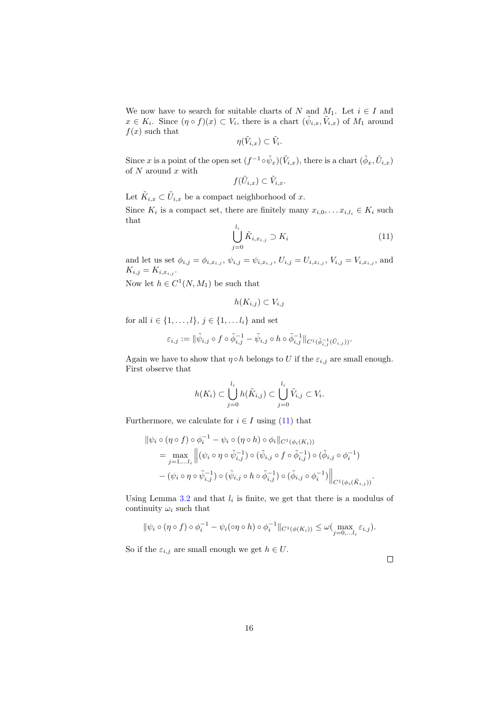We now have to search for suitable charts of N and  $M_1$ . Let  $i \in I$  and  $x \in K_i$ . Since  $(\eta \circ f)(x) \subset V_i$ , there is a chart  $(\tilde{\psi}_{i,x}, \tilde{V}_{i,x})$  of  $M_1$  around  $f(x)$  such that

$$
\eta(\tilde{V}_{i,x})\subset \tilde{V}_i.
$$

Since x is a point of the open set  $(f^{-1} \circ \tilde{\psi}_x)(\tilde{V}_{i,x})$ , there is a chart  $(\tilde{\phi}_x, \tilde{U}_{i,x})$ of  $N$  around  $x$  with

$$
f(\tilde{U}_{i,x}) \subset \tilde{V}_{i,x}.
$$

Let  $\tilde{K}_{i,x} \subset \tilde{U}_{i,x}$  be a compact neighborhood of x.

Since  $K_i$  is a compact set, there are finitely many  $x_{i,0}, \ldots x_{i,l_i} \in K_i$  such that li

$$
\bigcup_{j=0}^{l_i} \tilde{K}_{i,x_{i,j}} \supset K_i \tag{11}
$$

and let us set  $\phi_{i,j} = \phi_{i,x_{i,j}}, \psi_{i,j} = \psi_{i,x_{i,j}}, U_{i,j} = U_{i,x_{i,j}}, V_{i,j} = V_{i,x_{i,j}},$  and  $K_{i,j} = K_{i,x_{i,j}}.$ 

Now let  $h \in C^1(N, M_1)$  be such that

$$
h(K_{i,j}) \subset V_{i,j}
$$

for all  $i \in \{1, ..., l\}, j \in \{1, ..., l_i\}$  and set

$$
\varepsilon_{i,j}:=\|\tilde{\psi}_{i,j}\circ f\circ \tilde{\phi}_{i,j}^{-1}-\tilde{\psi}_{i,j}\circ h\circ \tilde{\phi}_{i,j}^{-1}\|_{C^1(\tilde{\phi}_{i,j}^{-1}(\tilde{U}_{i,j}))}.
$$

Again we have to show that  $\eta \circ h$  belongs to U if the  $\varepsilon_{i,j}$  are small enough. First observe that

$$
h(K_i) \subset \bigcup_{j=0}^{l_i} h(\tilde{K}_{i,j}) \subset \bigcup_{j=0}^{l_i} \tilde{V}_{i,j} \subset V_i.
$$

Furthermore, we calculate for  $i \in I$  using (11) that

−1

$$
\begin{aligned} \|\psi_i \circ (\eta \circ f) \circ \phi_i^{-1} - \psi_i \circ (\eta \circ h) \circ \phi_i\|_{C^1(\phi_i(K_i))} \\ &= \max_{j=1,\dots l_i} \left\| (\psi_i \circ \eta \circ \tilde{\psi}_{i,j}^{-1}) \circ (\tilde{\psi}_{i,j} \circ f \circ \tilde{\phi}_{i,j}^{-1}) \circ (\tilde{\phi}_{i,j} \circ \phi_i^{-1}) \right. \\ &\left. - (\psi_i \circ \eta \circ \tilde{\psi}_{i,j}^{-1}) \circ (\tilde{\psi}_{i,j} \circ h \circ \tilde{\phi}_{i,j}^{-1}) \circ (\tilde{\phi}_{i,j} \circ \phi_i^{-1}) \right\|_{C^1(\phi_i(\tilde{K}_{i,j}))} \end{aligned}
$$

Using Lemma 3.2 and that  $l_i$  is finite, we get that there is a modulus of continuity  $\omega_i$  such that

$$
\|\psi_i \circ (\eta \circ f) \circ \phi_i^{-1} - \psi_i(\circ \eta \circ h) \circ \phi_i^{-1}\|_{C^1(\phi(K_i))} \leq \omega \bigl(\max_{j=0,\dots l_i} \varepsilon_{i,j}\bigr).
$$

So if the  $\varepsilon_{i,j}$  are small enough we get  $h \in U$ .

.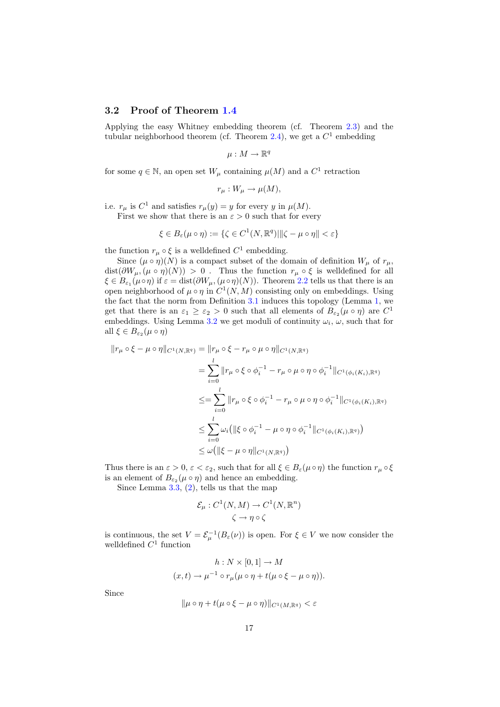#### 3.2 Proof of Theorem 1.4

Applying the easy Whitney embedding theorem (cf. Theorem 2.3) and the tubular neighborhood theorem (cf. Theorem 2.4), we get a  $C<sup>1</sup>$  embedding

$$
\mu:M\to\mathbb{R}^q
$$

for some  $q \in \mathbb{N}$ , an open set  $W_{\mu}$  containing  $\mu(M)$  and a  $C^{1}$  retraction

$$
r_{\mu}: W_{\mu} \to \mu(M),
$$

i.e.  $r_{\mu}$  is  $C^1$  and satisfies  $r_{\mu}(y) = y$  for every y in  $\mu(M)$ .

First we show that there is an  $\varepsilon > 0$  such that for every

$$
\xi \in B_{\varepsilon}(\mu \circ \eta) := \{ \zeta \in C^1(N, \mathbb{R}^q) | \| \zeta - \mu \circ \eta \| < \varepsilon \}
$$

the function  $r_{\mu} \circ \xi$  is a welldefined  $C^1$  embedding.

Since  $(\mu \circ \eta)(N)$  is a compact subset of the domain of definition  $W_{\mu}$  of  $r_{\mu}$ ,  $dist(\partial W_\mu, (\mu \circ \eta)(N)) > 0$ . Thus the function  $r_\mu \circ \xi$  is welldefined for all  $\xi \in B_{\varepsilon_1}(\mu \circ \eta)$  if  $\varepsilon = \text{dist}(\partial W_\mu, (\mu \circ \eta)(N))$ . Theorem 2.2 tells us that there is an open neighborhood of  $\mu \circ \eta$  in  $C^1(N,M)$  consisting only on embeddings. Using the fact that the norm from Definition 3.1 induces this topology (Lemma 1, we get that there is an  $\varepsilon_1 \geq \varepsilon_2 > 0$  such that all elements of  $B_{\varepsilon_2}(\mu \circ \eta)$  are  $C^1$ embeddings. Using Lemma 3.2 we get moduli of continuity  $\omega_i$ ,  $\omega$ , such that for all  $\xi \in B_{\varepsilon_2}(\mu \circ \eta)$ 

$$
||r_{\mu} \circ \xi - \mu \circ \eta||_{C^{1}(N, \mathbb{R}^{q})} = ||r_{\mu} \circ \xi - r_{\mu} \circ \mu \circ \eta||_{C^{1}(N, \mathbb{R}^{q})}
$$
  
\n
$$
= \sum_{i=0}^{l} ||r_{\mu} \circ \xi \circ \phi_{i}^{-1} - r_{\mu} \circ \mu \circ \eta \circ \phi_{i}^{-1}||_{C^{1}(\phi_{i}(K_{i}), \mathbb{R}^{q})}
$$
  
\n
$$
\leq = \sum_{i=0}^{l} ||r_{\mu} \circ \xi \circ \phi_{i}^{-1} - r_{\mu} \circ \mu \circ \eta \circ \phi_{i}^{-1}||_{C^{1}(\phi_{i}(K_{i}), \mathbb{R}^{q})}
$$
  
\n
$$
\leq \sum_{i=0}^{l} \omega_{i} (||\xi \circ \phi_{i}^{-1} - \mu \circ \eta \circ \phi_{i}^{-1}||_{C^{1}(\phi_{i}(K_{i}), \mathbb{R}^{q})})
$$
  
\n
$$
\leq \omega (||\xi - \mu \circ \eta||_{C^{1}(N, \mathbb{R}^{q})})
$$

Thus there is an  $\varepsilon > 0$ ,  $\varepsilon < \varepsilon_2$ , such that for all  $\xi \in B_{\varepsilon}(\mu \circ \eta)$  the function  $r_{\mu} \circ \xi$ is an element of  $B_{\varepsilon_2}(\mu \circ \eta)$  and hence an embedding.

Since Lemma 3.3, (2), tells us that the map

$$
\mathcal{E}_{\mu}: C^{1}(N, M) \to C^{1}(N, \mathbb{R}^{n})
$$

$$
\zeta \to \eta \circ \zeta
$$

is continuous, the set  $V = \mathcal{E}_{\mu}^{-1}(B_{\varepsilon}(\nu))$  is open. For  $\xi \in V$  we now consider the well<br>defined  $C^1$  function

$$
h: N \times [0,1] \to M
$$
  

$$
(x,t) \to \mu^{-1} \circ r_{\mu}(\mu \circ \eta + t(\mu \circ \xi - \mu \circ \eta)).
$$

Since

$$
\|\mu \circ \eta + t(\mu \circ \xi - \mu \circ \eta)\|_{C^1(M, \mathbb{R}^q)} < \varepsilon
$$